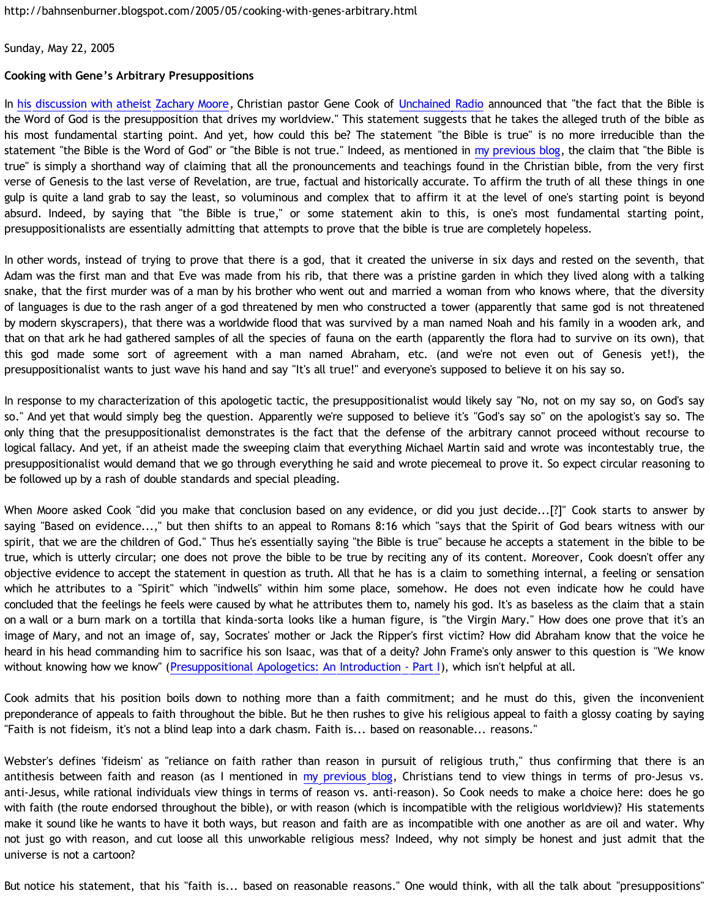#### Sunday, May 22, 2005

# **Cooking with Gene's Arbitrary Presuppositions**

In [his discussion with atheist Zachary Moore](http://www.angelfire.com/oh/imladris/narrowmind/080304.htm), Christian pastor Gene Cook of [Unchained Radio](http://www.unchainedradio.com/nuke/index.php) announced that "the fact that the Bible is the Word of God is the presupposition that drives my worldview." This statement suggests that he takes the alleged truth of the bible as his most fundamental starting point. And yet, how could this be? The statement "the Bible is true" is no more irreducible than the statement "the Bible is the Word of God" or "the Bible is not true." Indeed, as mentioned in [my previous blog,](http://bahnsenburner.blogspot.com/2005/05/arbitrary-presupposition-vs-reasoned.html) the claim that "the Bible is true" is simply a shorthand way of claiming that all the pronouncements and teachings found in the Christian bible, from the very first verse of Genesis to the last verse of Revelation, are true, factual and historically accurate. To affirm the truth of all these things in one gulp is quite a land grab to say the least, so voluminous and complex that to affirm it at the level of one's starting point is beyond absurd. Indeed, by saying that "the Bible is true," or some statement akin to this, is one's most fundamental starting point, presuppositionalists are essentially admitting that attempts to prove that the bible is true are completely hopeless.

In other words, instead of trying to prove that there is a god, that it created the universe in six days and rested on the seventh, that Adam was the first man and that Eve was made from his rib, that there was a pristine garden in which they lived along with a talking snake, that the first murder was of a man by his brother who went out and married a woman from who knows where, that the diversity of languages is due to the rash anger of a god threatened by men who constructed a tower (apparently that same god is not threatened by modern skyscrapers), that there was a worldwide flood that was survived by a man named Noah and his family in a wooden ark, and that on that ark he had gathered samples of all the species of fauna on the earth (apparently the flora had to survive on its own), that this god made some sort of agreement with a man named Abraham, etc. (and we're not even out of Genesis yet!), the presuppositionalist wants to just wave his hand and say "It's all true!" and everyone's supposed to believe it on his say so.

In response to my characterization of this apologetic tactic, the presuppositionalist would likely say "No, not on my say so, on God's say so." And yet that would simply beg the question. Apparently we're supposed to believe it's "God's say so" on the apologist's say so. The only thing that the presuppositionalist demonstrates is the fact that the defense of the arbitrary cannot proceed without recourse to logical fallacy. And yet, if an atheist made the sweeping claim that everything Michael Martin said and wrote was incontestably true, the presuppositionalist would demand that we go through everything he said and wrote piecemeal to prove it. So expect circular reasoning to be followed up by a rash of double standards and special pleading.

When Moore asked Cook "did you make that conclusion based on any evidence, or did you just decide...[?]" Cook starts to answer by saying "Based on evidence...," but then shifts to an appeal to Romans 8:16 which "says that the Spirit of God bears witness with our spirit, that we are the children of God." Thus he's essentially saying "the Bible is true" because he accepts a statement in the bible to be true, which is utterly circular; one does not prove the bible to be true by reciting any of its content. Moreover, Cook doesn't offer any objective evidence to accept the statement in question as truth. All that he has is a claim to something internal, a feeling or sensation which he attributes to a "Spirit" which "indwells" within him some place, somehow. He does not even indicate how he could have concluded that the feelings he feels were caused by what he attributes them to, namely his god. It's as baseless as the claim that a stain on a wall or a burn mark on a tortilla that kinda-sorta looks like a human figure, is "the Virgin Mary." How does one prove that it's an image of Mary, and not an image of, say, Socrates' mother or Jack the Ripper's first victim? How did Abraham know that the voice he heard in his head commanding him to sacrifice his son Isaac, was that of a deity? John Frame's only answer to this question is "We know without knowing how we know" ([Presuppositional Apologetics: An Introduction - Part I](http://www.thirdmill.org/files/english/html/pt/PT.h.Frame.Presupp.Apol.1.html)), which isn't helpful at all.

Cook admits that his position boils down to nothing more than a faith commitment; and he must do this, given the inconvenient preponderance of appeals to faith throughout the bible. But he then rushes to give his religious appeal to faith a glossy coating by saying "Faith is not fideism, it's not a blind leap into a dark chasm. Faith is... based on reasonable... reasons."

Webster's defines 'fideism' as "reliance on faith rather than reason in pursuit of religious truth," thus confirming that there is an antithesis between faith and reason (as I mentioned in [my previous blog](http://bahnsenburner.blogspot.com/2005/05/arbitrary-presupposition-vs-reasoned.html), Christians tend to view things in terms of pro-Jesus vs. anti-Jesus, while rational individuals view things in terms of reason vs. anti-reason). So Cook needs to make a choice here: does he go with faith (the route endorsed throughout the bible), or with reason (which is incompatible with the religious worldview)? His statements make it sound like he wants to have it both ways, but reason and faith are as incompatible with one another as are oil and water. Why not just go with reason, and cut loose all this unworkable religious mess? Indeed, why not simply be honest and just admit that the universe is not a cartoon?

But notice his statement, that his "faith is... based on reasonable reasons." One would think, with all the talk about "presuppositions"